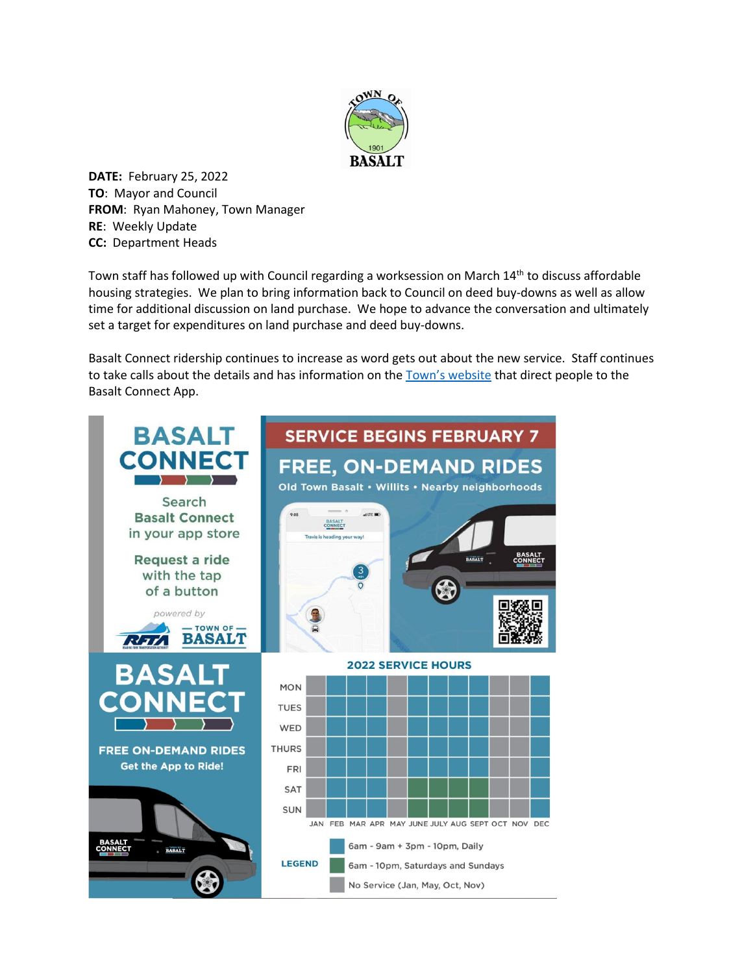

**DATE:** February 25, 2022 **TO**: Mayor and Council **FROM**: Ryan Mahoney, Town Manager **RE**: Weekly Update **CC:** Department Heads

Town staff has followed up with Council regarding a worksession on March 14<sup>th</sup> to discuss affordable housing strategies. We plan to bring information back to Council on deed buy-downs as well as allow time for additional discussion on land purchase. We hope to advance the conversation and ultimately set a target for expenditures on land purchase and deed buy-downs.

Basalt Connect ridership continues to increase as word gets out about the new service. Staff continues to take calls about the details and has information on the [Town's website](https://www.basalt.net/642/Basalt-Connect---Downtowner-Service) that direct people to the Basalt Connect App.

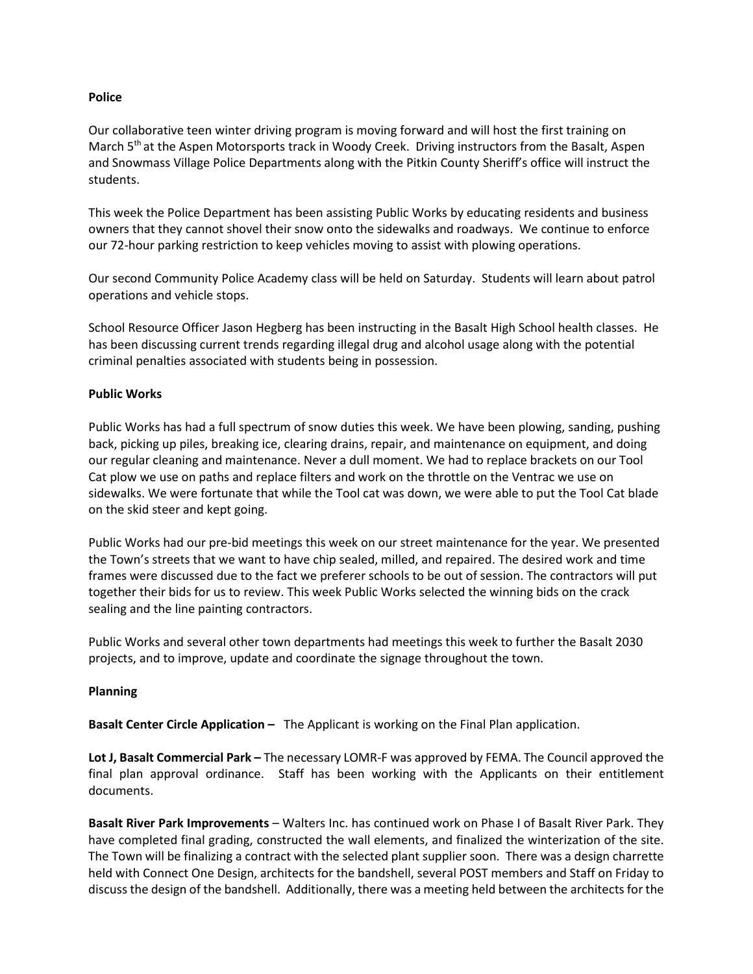## **Police**

Our collaborative teen winter driving program is moving forward and will host the first training on March 5<sup>th</sup> at the Aspen Motorsports track in Woody Creek. Driving instructors from the Basalt, Aspen and Snowmass Village Police Departments along with the Pitkin County Sheriff's office will instruct the students.

This week the Police Department has been assisting Public Works by educating residents and business owners that they cannot shovel their snow onto the sidewalks and roadways. We continue to enforce our 72-hour parking restriction to keep vehicles moving to assist with plowing operations.

Our second Community Police Academy class will be held on Saturday. Students will learn about patrol operations and vehicle stops.

School Resource Officer Jason Hegberg has been instructing in the Basalt High School health classes. He has been discussing current trends regarding illegal drug and alcohol usage along with the potential criminal penalties associated with students being in possession.

## **Public Works**

Public Works has had a full spectrum of snow duties this week. We have been plowing, sanding, pushing back, picking up piles, breaking ice, clearing drains, repair, and maintenance on equipment, and doing our regular cleaning and maintenance. Never a dull moment. We had to replace brackets on our Tool Cat plow we use on paths and replace filters and work on the throttle on the Ventrac we use on sidewalks. We were fortunate that while the Tool cat was down, we were able to put the Tool Cat blade on the skid steer and kept going.

Public Works had our pre-bid meetings this week on our street maintenance for the year. We presented the Town's streets that we want to have chip sealed, milled, and repaired. The desired work and time frames were discussed due to the fact we preferer schools to be out of session. The contractors will put together their bids for us to review. This week Public Works selected the winning bids on the crack sealing and the line painting contractors.

Public Works and several other town departments had meetings this week to further the Basalt 2030 projects, and to improve, update and coordinate the signage throughout the town.

## **Planning**

**Basalt Center Circle Application –** The Applicant is working on the Final Plan application.

**Lot J, Basalt Commercial Park –** The necessary LOMR-F was approved by FEMA. The Council approved the final plan approval ordinance. Staff has been working with the Applicants on their entitlement documents.

**Basalt River Park Improvements** – Walters Inc. has continued work on Phase I of Basalt River Park. They have completed final grading, constructed the wall elements, and finalized the winterization of the site. The Town will be finalizing a contract with the selected plant supplier soon. There was a design charrette held with Connect One Design, architects for the bandshell, several POST members and Staff on Friday to discuss the design of the bandshell. Additionally, there was a meeting held between the architects for the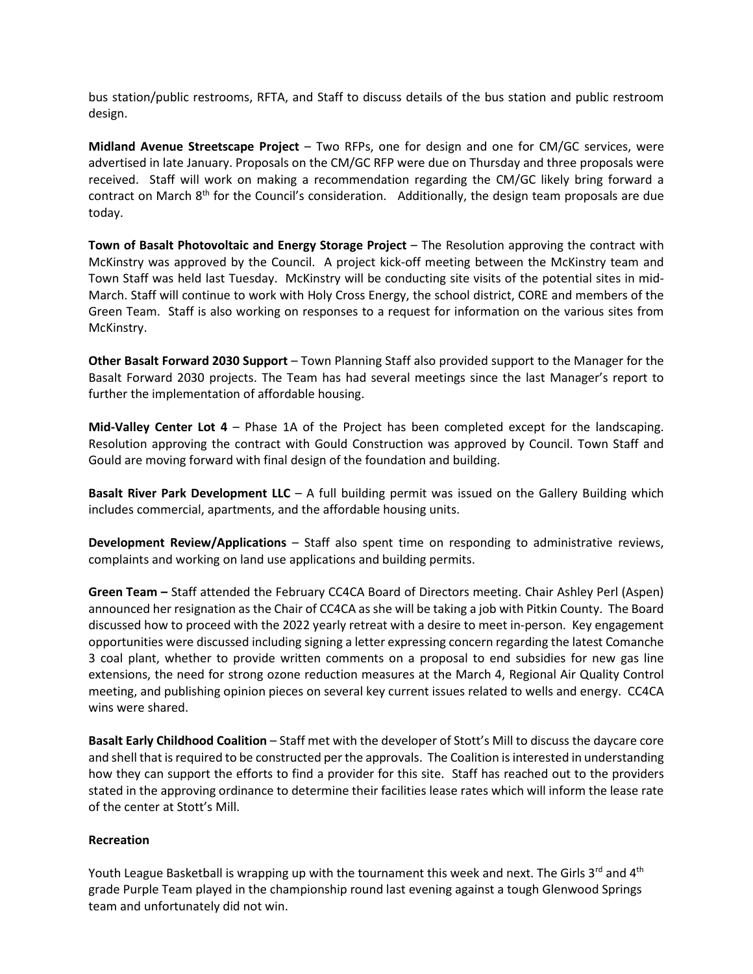bus station/public restrooms, RFTA, and Staff to discuss details of the bus station and public restroom design.

**Midland Avenue Streetscape Project** – Two RFPs, one for design and one for CM/GC services, were advertised in late January. Proposals on the CM/GC RFP were due on Thursday and three proposals were received. Staff will work on making a recommendation regarding the CM/GC likely bring forward a contract on March 8<sup>th</sup> for the Council's consideration. Additionally, the design team proposals are due today.

**Town of Basalt Photovoltaic and Energy Storage Project** – The Resolution approving the contract with McKinstry was approved by the Council. A project kick-off meeting between the McKinstry team and Town Staff was held last Tuesday. McKinstry will be conducting site visits of the potential sites in mid-March. Staff will continue to work with Holy Cross Energy, the school district, CORE and members of the Green Team. Staff is also working on responses to a request for information on the various sites from McKinstry.

**Other Basalt Forward 2030 Support** – Town Planning Staff also provided support to the Manager for the Basalt Forward 2030 projects. The Team has had several meetings since the last Manager's report to further the implementation of affordable housing.

**Mid-Valley Center Lot 4** – Phase 1A of the Project has been completed except for the landscaping. Resolution approving the contract with Gould Construction was approved by Council. Town Staff and Gould are moving forward with final design of the foundation and building.

**Basalt River Park Development LLC** – A full building permit was issued on the Gallery Building which includes commercial, apartments, and the affordable housing units.

**Development Review/Applications** – Staff also spent time on responding to administrative reviews, complaints and working on land use applications and building permits.

**Green Team –** Staff attended the February CC4CA Board of Directors meeting. Chair Ashley Perl (Aspen) announced her resignation as the Chair of CC4CA as she will be taking a job with Pitkin County. The Board discussed how to proceed with the 2022 yearly retreat with a desire to meet in-person. Key engagement opportunities were discussed including signing a letter expressing concern regarding the latest Comanche 3 coal plant, whether to provide written comments on a proposal to end subsidies for new gas line extensions, the need for strong ozone reduction measures at the March 4, Regional Air Quality Control meeting, and publishing opinion pieces on several key current issues related to wells and energy. CC4CA wins were shared.

**Basalt Early Childhood Coalition** – Staff met with the developer of Stott's Mill to discuss the daycare core and shell that is required to be constructed per the approvals. The Coalition is interested in understanding how they can support the efforts to find a provider for this site. Staff has reached out to the providers stated in the approving ordinance to determine their facilities lease rates which will inform the lease rate of the center at Stott's Mill.

## **Recreation**

Youth League Basketball is wrapping up with the tournament this week and next. The Girls 3<sup>rd</sup> and 4<sup>th</sup> grade Purple Team played in the championship round last evening against a tough Glenwood Springs team and unfortunately did not win.